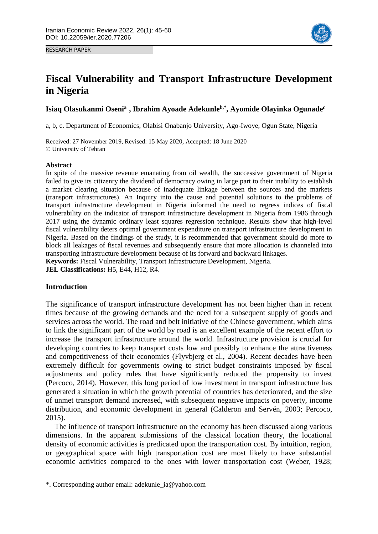

RESEARCH PAPER

# **Fiscal Vulnerability and Transport Infrastructure Development in Nigeria**

**Isiaq Olasukanmi Osenia1 , Ibrahim Ayoade Adekunleb,\* , Ayomide Olayinka Ogunade<sup>c</sup>**

a, b, c. Department of Economics, Olabisi Onabanjo University, Ago-Iwoye, Ogun State, Nigeria

Received: 27 November 2019, Revised: 15 May 2020, Accepted: 18 June 2020 © University of Tehran

# **Abstract**

In spite of the massive revenue emanating from oil wealth, the successive government of Nigeria failed to give its citizenry the dividend of democracy owing in large part to their inability to establish a market clearing situation because of inadequate linkage between the sources and the markets (transport infrastructures). An Inquiry into the cause and potential solutions to the problems of transport infrastructure development in Nigeria informed the need to regress indices of fiscal vulnerability on the indicator of transport infrastructure development in Nigeria from 1986 through 2017 using the dynamic ordinary least squares regression technique. Results show that high-level fiscal vulnerability deters optimal government expenditure on transport infrastructure development in Nigeria. Based on the findings of the study, it is recommended that government should do more to block all leakages of fiscal revenues and subsequently ensure that more allocation is channeled into transporting infrastructure development because of its forward and backward linkages. **Keywords:** Fiscal Vulnerability, Transport Infrastructure Development, Nigeria.

**JEL Classifications:** H5, E44, H12, R4.

# **Introduction**

**.** 

The significance of transport infrastructure development has not been higher than in recent times because of the growing demands and the need for a subsequent supply of goods and services across the world. The road and belt initiative of the Chinese government, which aims to link the significant part of the world by road is an excellent example of the recent effort to increase the transport infrastructure around the world. Infrastructure provision is crucial for developing countries to keep transport costs low and possibly to enhance the attractiveness and competitiveness of their economies (Flyvbjerg et al., 2004). Recent decades have been extremely difficult for governments owing to strict budget constraints imposed by fiscal adjustments and policy rules that have significantly reduced the propensity to invest (Percoco, 2014). However, this long period of low investment in transport infrastructure has generated a situation in which the growth potential of countries has deteriorated, and the size of unmet transport demand increased, with subsequent negative impacts on poverty, income distribution, and economic development in general (Calderon and Servén, 2003; Percoco, 2015).

The influence of transport infrastructure on the economy has been discussed along various dimensions. In the apparent submissions of the classical location theory, the locational density of economic activities is predicated upon the transportation cost. By intuition, region, or geographical space with high transportation cost are most likely to have substantial economic activities compared to the ones with lower transportation cost (Weber, 1928;

<sup>\*.</sup> Corresponding author email: adekunle\_ia@yahoo.com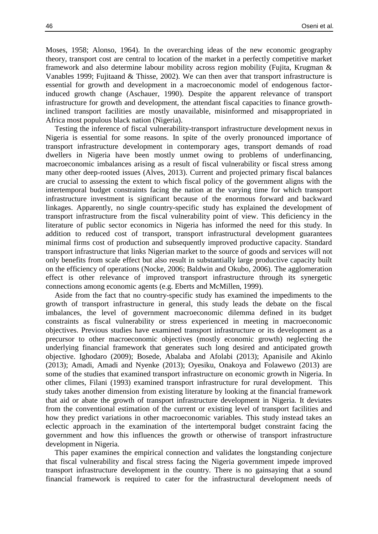Moses, 1958; Alonso, 1964). In the overarching ideas of the new economic geography theory, transport cost are central to location of the market in a perfectly competitive market framework and also determine labour mobility across region mobility (Fujita, Krugman & Vanables 1999; Fujitaand & Thisse, 2002). We can then aver that transport infrastructure is essential for growth and development in a macroeconomic model of endogenous factorinduced growth change (Aschauer, 1990). Despite the apparent relevance of transport infrastructure for growth and development, the attendant fiscal capacities to finance growthinclined transport facilities are mostly unavailable, misinformed and misappropriated in Africa most populous black nation (Nigeria).

Testing the inference of fiscal vulnerability-transport infrastructure development nexus in Nigeria is essential for some reasons. In spite of the overly pronounced importance of transport infrastructure development in contemporary ages, transport demands of road dwellers in Nigeria have been mostly unmet owing to problems of underfinancing, macroeconomic imbalances arising as a result of fiscal vulnerability or fiscal stress among many other deep-rooted issues (Alves, 2013). Current and projected primary fiscal balances are crucial to assessing the extent to which fiscal policy of the government aligns with the intertemporal budget constraints facing the nation at the varying time for which transport infrastructure investment is significant because of the enormous forward and backward linkages. Apparently, no single country-specific study has explained the development of transport infrastructure from the fiscal vulnerability point of view. This deficiency in the literature of public sector economics in Nigeria has informed the need for this study. In addition to reduced cost of transport, transport infrastructural development guarantees minimal firms cost of production and subsequently improved productive capacity. Standard transport infrastructure that links Nigerian market to the source of goods and services will not only benefits from scale effect but also result in substantially large productive capacity built on the efficiency of operations (Nocke, 2006; Baldwin and Okubo, 2006). The agglomeration effect is other relevance of improved transport infrastructure through its synergetic connections among economic agents (e.g. Eberts and McMillen, 1999).

Aside from the fact that no country-specific study has examined the impediments to the growth of transport infrastructure in general, this study leads the debate on the fiscal imbalances, the level of government macroeconomic dilemma defined in its budget constraints as fiscal vulnerability or stress experienced in meeting in macroeconomic objectives. Previous studies have examined transport infrastructure or its development as a precursor to other macroeconomic objectives (mostly economic growth) neglecting the underlying financial framework that generates such long desired and anticipated growth objective. Ighodaro (2009); Bosede, Abalaba and Afolabi (2013); Apanisile and Akinlo (2013); Amadi, Amadi and Nyenke (2013); Oyesiku, Onakoya and Folawewo (2013) are some of the studies that examined transport infrastructure on economic growth in Nigeria. In other climes, Filani (1993) examined transport infrastructure for rural development. This study takes another dimension from existing literature by looking at the financial framework that aid or abate the growth of transport infrastructure development in Nigeria. It deviates from the conventional estimation of the current or existing level of transport facilities and how they predict variations in other macroeconomic variables. This study instead takes an eclectic approach in the examination of the intertemporal budget constraint facing the government and how this influences the growth or otherwise of transport infrastructure development in Nigeria.

This paper examines the empirical connection and validates the longstanding conjecture that fiscal vulnerability and fiscal stress facing the Nigeria government impede improved transport infrastructure development in the country. There is no gainsaying that a sound financial framework is required to cater for the infrastructural development needs of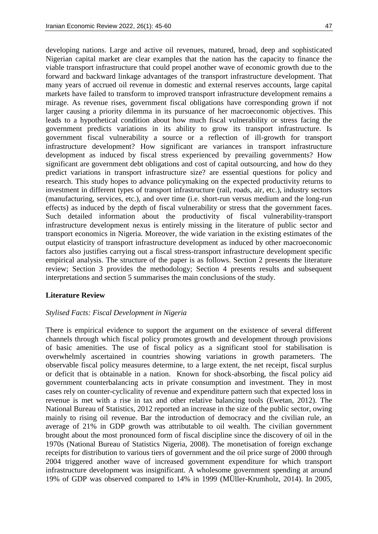developing nations. Large and active oil revenues, matured, broad, deep and sophisticated Nigerian capital market are clear examples that the nation has the capacity to finance the viable transport infrastructure that could propel another wave of economic growth due to the forward and backward linkage advantages of the transport infrastructure development. That many years of accrued oil revenue in domestic and external reserves accounts, large capital markets have failed to transform to improved transport infrastructure development remains a mirage. As revenue rises, government fiscal obligations have corresponding grown if not larger causing a priority dilemma in its pursuance of her macroeconomic objectives. This leads to a hypothetical condition about how much fiscal vulnerability or stress facing the government predicts variations in its ability to grow its transport infrastructure. Is government fiscal vulnerability a source or a reflection of ill-growth for transport infrastructure development? How significant are variances in transport infrastructure development as induced by fiscal stress experienced by prevailing governments? How significant are government debt obligations and cost of capital outsourcing, and how do they predict variations in transport infrastructure size? are essential questions for policy and research. This study hopes to advance policymaking on the expected productivity returns to investment in different types of transport infrastructure (rail, roads, air, etc.), industry sectors (manufacturing, services, etc.), and over time (i.e. short-run versus medium and the long-run effects) as induced by the depth of fiscal vulnerability or stress that the government faces. Such detailed information about the productivity of fiscal vulnerability-transport infrastructure development nexus is entirely missing in the literature of public sector and transport economics in Nigeria. Moreover, the wide variation in the existing estimates of the output elasticity of transport infrastructure development as induced by other macroeconomic factors also justifies carrying out a fiscal stress-transport infrastructure development specific empirical analysis. The structure of the paper is as follows. Section 2 presents the literature review; Section 3 provides the methodology; Section 4 presents results and subsequent interpretations and section 5 summarises the main conclusions of the study.

## **Literature Review**

## *Stylised Facts: Fiscal Development in Nigeria*

There is empirical evidence to support the argument on the existence of several different channels through which fiscal policy promotes growth and development through provisions of basic amenities. The use of fiscal policy as a significant stool for stabilisation is overwhelmly ascertained in countries showing variations in growth parameters. The observable fiscal policy measures determine, to a large extent, the net receipt, fiscal surplus or deficit that is obtainable in a nation. Known for shock-absorbing, the fiscal policy aid government counterbalancing acts in private consumption and investment. They in most cases rely on counter-cyclicality of revenue and expenditure pattern such that expected loss in revenue is met with a rise in tax and other relative balancing tools (Ewetan, 2012). The National Bureau of Statistics, 2012 reported an increase in the size of the public sector, owing mainly to rising oil revenue. Bar the introduction of democracy and the civilian rule, an average of 21% in GDP growth was attributable to oil wealth. The civilian government brought about the most pronounced form of fiscal discipline since the discovery of oil in the 1970s (National Bureau of Statistics Nigeria, 2008). The monetisation of foreign exchange receipts for distribution to various tiers of government and the oil price surge of 2000 through 2004 triggered another wave of increased government expenditure for which transport infrastructure development was insignificant. A wholesome government spending at around 19% of GDP was observed compared to 14% in 1999 (MÜller-Krumholz, 2014). In 2005,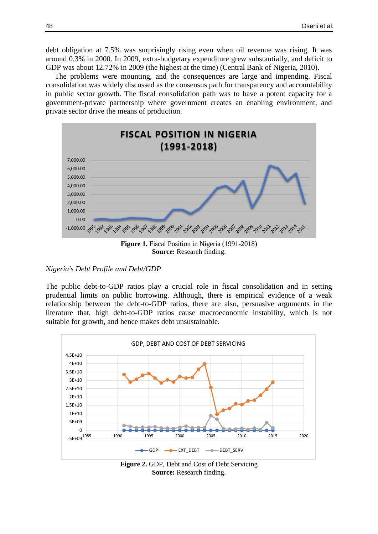debt obligation at 7.5% was surprisingly rising even when oil revenue was rising. It was around 0.3% in 2000. In 2009, extra-budgetary expenditure grew substantially, and deficit to GDP was about 12.72% in 2009 (the highest at the time) (Central Bank of Nigeria, 2010).

The problems were mounting, and the consequences are large and impending. Fiscal consolidation was widely discussed as the consensus path for transparency and accountability in public sector growth. The fiscal consolidation path was to have a potent capacity for a government-private partnership where government creates an enabling environment, and private sector drive the means of production.



**Figure 1.** Fiscal Position in Nigeria (1991-2018) **Source:** Research finding.

# *Nigeria's Debt Profile and Debt/GDP*

The public debt-to-GDP ratios play a crucial role in fiscal consolidation and in setting prudential limits on public borrowing. Although, there is empirical evidence of a weak relationship between the debt-to-GDP ratios, there are also, persuasive arguments in the literature that, high debt-to-GDP ratios cause macroeconomic instability, which is not suitable for growth, and hence makes debt unsustainable.



**Figure 2.** GDP, Debt and Cost of Debt Servicing **Source:** Research finding.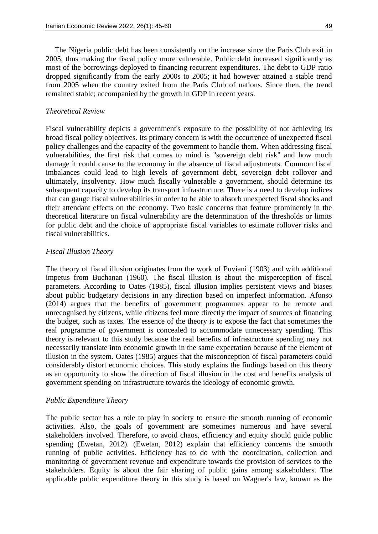The Nigeria public debt has been consistently on the increase since the Paris Club exit in 2005, thus making the fiscal policy more vulnerable. Public debt increased significantly as most of the borrowings deployed to financing recurrent expenditures. The debt to GDP ratio dropped significantly from the early 2000s to 2005; it had however attained a stable trend from 2005 when the country exited from the Paris Club of nations. Since then, the trend remained stable; accompanied by the growth in GDP in recent years.

# *Theoretical Review*

Fiscal vulnerability depicts a government's exposure to the possibility of not achieving its broad fiscal policy objectives. Its primary concern is with the occurrence of unexpected fiscal policy challenges and the capacity of the government to handle them. When addressing fiscal vulnerabilities, the first risk that comes to mind is "sovereign debt risk" and how much damage it could cause to the economy in the absence of fiscal adjustments. Common fiscal imbalances could lead to high levels of government debt, sovereign debt rollover and ultimately, insolvency. How much fiscally vulnerable a government, should determine its subsequent capacity to develop its transport infrastructure. There is a need to develop indices that can gauge fiscal vulnerabilities in order to be able to absorb unexpected fiscal shocks and their attendant effects on the economy. Two basic concerns that feature prominently in the theoretical literature on fiscal vulnerability are the determination of the thresholds or limits for public debt and the choice of appropriate fiscal variables to estimate rollover risks and fiscal vulnerabilities.

#### *Fiscal Illusion Theory*

The theory of fiscal illusion originates from the work of Puviani (1903) and with additional impetus from Buchanan (1960). The fiscal illusion is about the misperception of fiscal parameters. According to Oates (1985), fiscal illusion implies persistent views and biases about public budgetary decisions in any direction based on imperfect information. Afonso (2014) argues that the benefits of government programmes appear to be remote and unrecognised by citizens, while citizens feel more directly the impact of sources of financing the budget, such as taxes. The essence of the theory is to expose the fact that sometimes the real programme of government is concealed to accommodate unnecessary spending. This theory is relevant to this study because the real benefits of infrastructure spending may not necessarily translate into economic growth in the same expectation because of the element of illusion in the system. Oates (1985) argues that the misconception of fiscal parameters could considerably distort economic choices. This study explains the findings based on this theory as an opportunity to show the direction of fiscal illusion in the cost and benefits analysis of government spending on infrastructure towards the ideology of economic growth.

#### *Public Expenditure Theory*

The public sector has a role to play in society to ensure the smooth running of economic activities. Also, the goals of government are sometimes numerous and have several stakeholders involved. Therefore, to avoid chaos, efficiency and equity should guide public spending (Ewetan, 2012). (Ewetan, 2012) explain that efficiency concerns the smooth running of public activities. Efficiency has to do with the coordination, collection and monitoring of government revenue and expenditure towards the provision of services to the stakeholders. Equity is about the fair sharing of public gains among stakeholders. The applicable public expenditure theory in this study is based on Wagner's law, known as the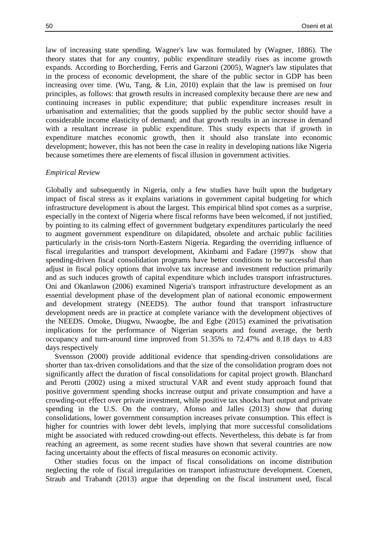law of increasing state spending. Wagner's law was formulated by (Wagner, 1886). The theory states that for any country, public expenditure steadily rises as income growth expands. According to Borcherding, Ferris and Garzoni (2005), Wagner's law stipulates that in the process of economic development, the share of the public sector in GDP has been increasing over time. (Wu, Tang, & Lin, 2010) explain that the law is premised on four principles, as follows: that growth results in increased complexity because there are new and continuing increases in public expenditure; that public expenditure increases result in urbanisation and externalities; that the goods supplied by the public sector should have a considerable income elasticity of demand; and that growth results in an increase in demand with a resultant increase in public expenditure. This study expects that if growth in expenditure matches economic growth, then it should also translate into economic development; however, this has not been the case in reality in developing nations like Nigeria because sometimes there are elements of fiscal illusion in government activities.

#### *Empirical Review*

Globally and subsequently in Nigeria, only a few studies have built upon the budgetary impact of fiscal stress as it explains variations in government capital budgeting for which infrastructure development is about the largest. This empirical blind spot comes as a surprise, especially in the context of Nigeria where fiscal reforms have been welcomed, if not justified, by pointing to its calming effect of government budgetary expenditures particularly the need to augment government expenditure on dilapidated, obsolete and archaic public facilities particularly in the crisis-torn North-Eastern Nigeria. Regarding the overriding influence of fiscal irregularities and transport development, Akinbami and Fadare (1997)s show that spending-driven fiscal consolidation programs have better conditions to be successful than adjust in fiscal policy options that involve tax increase and investment reduction primarily and as such induces growth of capital expenditure which includes transport infrastructures. Oni and Okanlawon (2006) examined Nigeria's transport infrastructure development as an essential development phase of the development plan of national economic empowerment and development strategy (NEEDS). The author found that transport infrastructure development needs are in practice at complete variance with the development objectives of the NEEDS. Omoke, Diugwu, Nwaogbe, Ibe and Egbe (2015) examined the privatisation implications for the performance of Nigerian seaports and found average, the berth occupancy and turn-around time improved from 51.35% to 72.47% and 8.18 days to 4.83 days respectively

Svensson (2000) provide additional evidence that spending-driven consolidations are shorter than tax-driven consolidations and that the size of the consolidation program does not significantly affect the duration of fiscal consolidations for capital project growth. Blanchard and Perotti (2002) using a mixed structural VAR and event study approach found that positive government spending shocks increase output and private consumption and have a crowding-out effect over private investment, while positive tax shocks hurt output and private spending in the U.S. On the contrary, Afonso and Jalles (2013) show that during consolidations, lower government consumption increases private consumption. This effect is higher for countries with lower debt levels, implying that more successful consolidations might be associated with reduced crowding-out effects. Nevertheless, this debate is far from reaching an agreement, as some recent studies have shown that several countries are now facing uncertainty about the effects of fiscal measures on economic activity.

Other studies focus on the impact of fiscal consolidations on income distribution neglecting the role of fiscal irregularities on transport infrastructure development. Coenen, Straub and Trabandt (2013) argue that depending on the fiscal instrument used, fiscal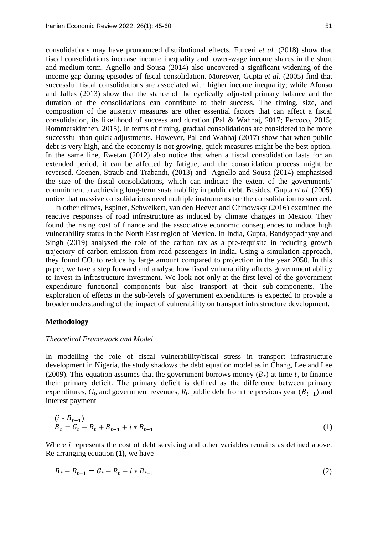consolidations may have pronounced distributional effects. Furceri *et al.* (2018) show that fiscal consolidations increase income inequality and lower-wage income shares in the short and medium-term. Agnello and Sousa (2014) also uncovered a significant widening of the income gap during episodes of fiscal consolidation. Moreover, Gupta *et al.* (2005) find that successful fiscal consolidations are associated with higher income inequality; while Afonso and Jalles (2013) show that the stance of the cyclically adjusted primary balance and the duration of the consolidations can contribute to their success. The timing, size, and composition of the austerity measures are other essential factors that can affect a fiscal consolidation, its likelihood of success and duration (Pal & Wahhaj, 2017; Percoco, 2015; Rommerskirchen, 2015). In terms of timing, gradual consolidations are considered to be more successful than quick adjustments. However, Pal and Wahhaj (2017) show that when public debt is very high, and the economy is not growing, quick measures might be the best option. In the same line, Ewetan (2012) also notice that when a fiscal consolidation lasts for an extended period, it can be affected by fatigue, and the consolidation process might be reversed. Coenen, Straub and Trabandt, (2013) and Agnello and Sousa (2014) emphasised the size of the fiscal consolidations, which can indicate the extent of the governments' commitment to achieving long-term sustainability in public debt. Besides, Gupta *et al.* (2005) notice that massive consolidations need multiple instruments for the consolidation to succeed.

In other climes, Espinet, Schweikert, van den Heever and Chinowsky (2016) examined the reactive responses of road infrastructure as induced by climate changes in Mexico. They found the rising cost of finance and the associative economic consequences to induce high vulnerability status in the North East region of Mexico. In India, Gupta, Bandyopadhyay and Singh (2019) analysed the role of the carbon tax as a pre-requisite in reducing growth trajectory of carbon emission from road passengers in India. Using a simulation approach, they found  $CO<sub>2</sub>$  to reduce by large amount compared to projection in the year 2050. In this paper, we take a step forward and analyse how fiscal vulnerability affects government ability to invest in infrastructure investment. We look not only at the first level of the government expenditure functional components but also transport at their sub-components. The exploration of effects in the sub-levels of government expenditures is expected to provide a broader understanding of the impact of vulnerability on transport infrastructure development.

#### **Methodology**

#### *Theoretical Framework and Model*

In modelling the role of fiscal vulnerability/fiscal stress in transport infrastructure development in Nigeria, the study shadows the debt equation model as in Chang, Lee and Lee (2009). This equation assumes that the government borrows money  $(B_t)$  at time t, to finance their primary deficit. The primary deficit is defined as the difference between primary expenditures,  $G_t$ , and government revenues,  $R_t$ , public debt from the previous year  $(B_{t-1})$  and interest payment

$$
(i * Bt-1).
$$
  
\n
$$
Bt = Gt - Rt + Bt-1 + i * Bt-1
$$
\n(1)

Where *i* represents the cost of debt servicing and other variables remains as defined above. Re-arranging equation **(1)***,* we have

$$
B_t - B_{t-1} = G_t - R_t + i * B_{t-1}
$$
\n<sup>(2)</sup>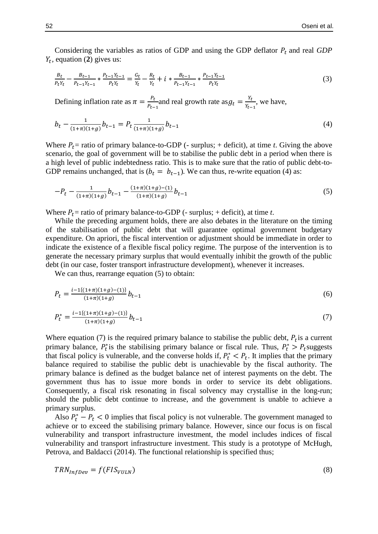Considering the variables as ratios of GDP and using the GDP deflator  $P_t$  and real *GDP*  $Y_t$ , equation (2) gives us:

$$
\frac{B_t}{P_t Y_t} - \frac{B_{t-1}}{P_{t-1} Y_{t-1}} * \frac{P_{t-1} Y_{t-1}}{P_t Y_t} = \frac{G_t}{Y_t} - \frac{R_t}{Y_t} + i * \frac{B_{t-1}}{P_{t-1} Y_{t-1}} * \frac{P_{t-1} Y_{t-1}}{P_t Y_t}
$$
(3)

Defining inflation rate as  $\pi = \frac{P_t}{R}$  $\frac{P_t}{P_{t-1}}$  and real growth rate as  $g_t = \frac{Y_t}{Y_{t-1}}$  $\frac{t}{Y_{t-1}}$ , we have,

$$
b_t - \frac{1}{(1+\pi)(1+g)} b_{t-1} = P_t \frac{1}{(1+\pi)(1+g)} b_{t-1}
$$
\n<sup>(4)</sup>

Where  $P_t$  = ratio of primary balance-to-GDP (- surplus; + deficit), at time *t*. Giving the above scenario, the goal of government will be to stabilise the public debt in a period when there is a high level of public indebtedness ratio. This is to make sure that the ratio of public debt-to-GDP remains unchanged, that is  $(b_t = b_{t-1})$ . We can thus, re-write equation (4) as:

$$
-P_t - \frac{1}{(1+\pi)(1+g)} b_{t-1} - \frac{(1+\pi)(1+g) - (1)}{(1+\pi)(1+g)} b_{t-1}
$$
\n
$$
(5)
$$

Where  $P_t$  = ratio of primary balance-to-GDP (- surplus; + deficit), at time *t*.

While the preceding argument holds, there are also debates in the literature on the timing of the stabilisation of public debt that will guarantee optimal government budgetary expenditure. On apriori, the fiscal intervention or adjustment should be immediate in order to indicate the existence of a flexible fiscal policy regime. The purpose of the intervention is to generate the necessary primary surplus that would eventually inhibit the growth of the public debt (in our case, foster transport infrastructure development), whenever it increases.

We can thus, rearrange equation  $(5)$  to obtain:

$$
P_t = \frac{i - 1\{(1+\pi)(1+g) - (1)\}}{(1+\pi)(1+g)} b_{t-1}
$$
\n<sup>(6)</sup>

$$
P_t^* = \frac{i - 1\{(1+\pi)(1+g) - (1)\}}{(1+\pi)(1+g)} b_{t-1}
$$
\n<sup>(7)</sup>

Where equation (7) is the required primary balance to stabilise the public debt,  $P_t$  is a current primary balance,  $P_t^*$  is the stabilising primary balance or fiscal rule. Thus,  $P_t^* > P_t$  suggests that fiscal policy is vulnerable, and the converse holds if,  $P_t^* < P_t$ . It implies that the primary balance required to stabilise the public debt is unachievable by the fiscal authority. The primary balance is defined as the budget balance net of interest payments on the debt. The government thus has to issue more bonds in order to service its debt obligations. Consequently, a fiscal risk resonating in fiscal solvency may crystallise in the long-run; should the public debt continue to increase, and the government is unable to achieve a primary surplus.

Also  $P_t^* - P_t < 0$  implies that fiscal policy is not vulnerable. The government managed to achieve or to exceed the stabilising primary balance. However, since our focus is on fiscal vulnerability and transport infrastructure investment, the model includes indices of fiscal vulnerability and transport infrastructure investment. This study is a prototype of McHugh, Petrova, and Baldacci (2014). The functional relationship is specified thus;

$$
TRN_{InfDev} = f(FIS_{VULN})
$$
\n(8)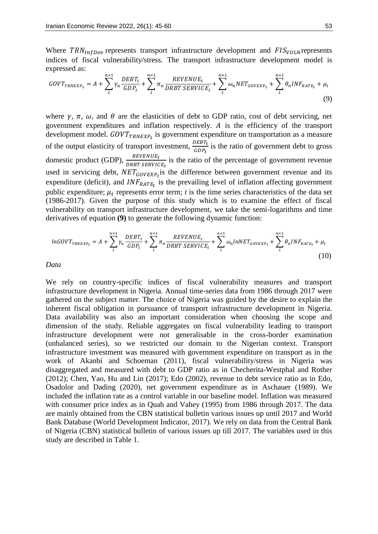Where  $TRN_{InfDev}$  represents transport infrastructure development and  $FIS_{VIILN}$  represents indices of fiscal vulnerability/stress. The transport infrastructure development model is expressed as:

$$
GOUT_{TRNEXP_t} = A + \sum_{t}^{n=1} \gamma_n \frac{DEBT_t}{GDP_t} + \sum_{t}^{n=1} \pi_n \frac{REVENUE_t}{DRBT SERVICE_t} + \sum_{t}^{n=1} \omega_n NET_{GOVEXP_t} + \sum_{t}^{n=1} \theta_n INF_{RATE_t} + \mu_t
$$
\n(9)

where  $\gamma$ ,  $\pi$ ,  $\omega$ , and  $\theta$  are the elasticities of debt to GDP ratio, cost of debt servicing, net government expenditures and inflation respectively. A is the efficiency of the transport development model.  $GOUT_{TRNEXP_t}$  is government expenditure on transportation as a measure of the output elasticity of transport investment,  $\frac{DEBT_t}{GDP_t}$  is the ratio of government debt to gross domestic product (GDP),  $\frac{REVENUE_t}{DRBT SERVICE_t}$  is the ratio of the percentage of government revenue used in servicing debt,  $NET_{GOVEXP<sub>t</sub>}$  is the difference between government revenue and its expenditure (deficit), and  $INF_{RATE_t}$  is the prevailing level of inflation affecting government public expenditure;  $\mu_t$  represents error term;  $t$  is the time series characteristics of the data set (1986-2017). Given the purpose of this study which is to examine the effect of fiscal vulnerability on transport infrastructure development, we take the semi-logarithms and time derivatives of equation **(9)** to generate the following dynamic function:

$$
lnGOVT_{TRNEXP_t} = A + \sum_{t}^{n=1} \gamma_n \frac{DEBT_t}{GDP_t} + \sum_{t}^{n=1} \pi_n \frac{REVENUE_t}{DRBT SERVICE_t} + \sum_{t}^{n=1} \omega_n lnNET_{GOVEXP_t} + \sum_{t}^{n=1} \theta_n INF_{RATE_t} + \mu_t
$$
\n(10)

*Data* 

We rely on country-specific indices of fiscal vulnerability measures and transport infrastructure development in Nigeria. Annual time-series data from 1986 through 2017 were gathered on the subject matter. The choice of Nigeria was guided by the desire to explain the inherent fiscal obligation in pursuance of transport infrastructure development in Nigeria. Data availability was also an important consideration when choosing the scope and dimension of the study. Reliable aggregates on fiscal vulnerability leading to transport infrastructure development were not generalisable in the cross-border examination (unbalanced series), so we restricted our domain to the Nigerian context. Transport infrastructure investment was measured with government expenditure on transport as in the work of Akanbi and Schoeman (2011), fiscal vulnerability/stress in Nigeria was disaggregated and measured with debt to GDP ratio as in Checherita-Westphal and Rother (2012); Chen, Yao, Hu and Lin (2017); Edo (2002), revenue to debt service ratio as in Edo, Osadolor and Dading (2020), net government expenditure as in Aschauer (1989). We included the inflation rate as a control variable in our baseline model. Inflation was measured with consumer price index as in Quah and Vahey (1995) from 1986 through 2017. The data are mainly obtained from the CBN statistical bulletin various issues up until 2017 and World Bank Database (World Development Indicator, 2017). We rely on data from the Central Bank of Nigeria (CBN) statistical bulletin of various issues up till 2017. The variables used in this study are described in Table 1.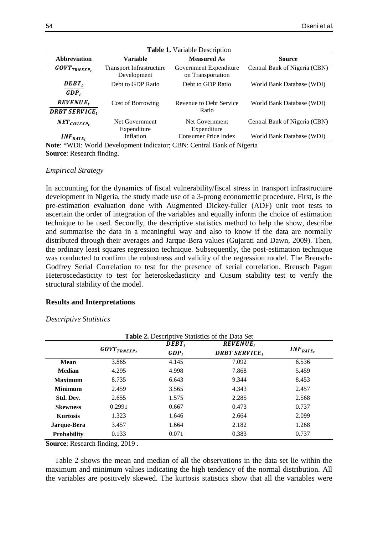| <b>Transport Infrastructure</b><br>Central Bank of Nigeria (CBN)<br>Government Expenditure<br>$\textbf{\textit{GOVT}}_{\textbf{\textit{T}}\textbf{\textit{R}}\textbf{\textit{N}}\textbf{\textit{E}}\textbf{\textit{X}}\textbf{\textit{P}}_t}$<br>Development<br>on Transportation<br>$DEBT_t$<br>Debt to GDP Ratio<br>Debt to GDP Ratio<br>World Bank Database (WDI)<br>$GDP_t$<br><b>REVENUE</b> ,<br>Revenue to Debt Service<br>Cost of Borrowing<br>World Bank Database (WDI)<br>Ratio<br><b>DRBT SERVICE,</b><br>Central Bank of Nigeria (CBN)<br>Net Government<br>Net Government<br>$NET_{GOVEXP_t}$<br>Expenditure<br>Expenditure | <b>Abbreviation</b> | <b>Variable</b> | <b>Measured As</b>          | <b>Source</b>             |
|------------------------------------------------------------------------------------------------------------------------------------------------------------------------------------------------------------------------------------------------------------------------------------------------------------------------------------------------------------------------------------------------------------------------------------------------------------------------------------------------------------------------------------------------------------------------------------------------------------------------------------------|---------------------|-----------------|-----------------------------|---------------------------|
|                                                                                                                                                                                                                                                                                                                                                                                                                                                                                                                                                                                                                                          |                     |                 |                             |                           |
|                                                                                                                                                                                                                                                                                                                                                                                                                                                                                                                                                                                                                                          |                     |                 |                             |                           |
|                                                                                                                                                                                                                                                                                                                                                                                                                                                                                                                                                                                                                                          |                     |                 |                             |                           |
|                                                                                                                                                                                                                                                                                                                                                                                                                                                                                                                                                                                                                                          |                     |                 |                             |                           |
|                                                                                                                                                                                                                                                                                                                                                                                                                                                                                                                                                                                                                                          |                     |                 |                             |                           |
|                                                                                                                                                                                                                                                                                                                                                                                                                                                                                                                                                                                                                                          |                     |                 |                             |                           |
|                                                                                                                                                                                                                                                                                                                                                                                                                                                                                                                                                                                                                                          |                     |                 |                             |                           |
|                                                                                                                                                                                                                                                                                                                                                                                                                                                                                                                                                                                                                                          | $INF_{RATE_t}$      | Inflation       | <b>Consumer Price Index</b> | World Bank Database (WDI) |

|  | <b>Table 1.</b> Variable Description |
|--|--------------------------------------|
|--|--------------------------------------|

**Note**: \*WDI: World Development Indicator; CBN: Central Bank of Nigeria **Source**: Research finding.

## *Empirical Strategy*

In accounting for the dynamics of fiscal vulnerability/fiscal stress in transport infrastructure development in Nigeria, the study made use of a 3-prong econometric procedure. First, is the pre-estimation evaluation done with Augmented Dickey-fuller (ADF) unit root tests to ascertain the order of integration of the variables and equally inform the choice of estimation technique to be used. Secondly, the descriptive statistics method to help the show, describe and summarise the data in a meaningful way and also to know if the data are normally distributed through their averages and Jarque-Bera values (Gujarati and Dawn, 2009). Then, the ordinary least squares regression technique. Subsequently, the post-estimation technique was conducted to confirm the robustness and validity of the regression model. The Breusch-Godfrey Serial Correlation to test for the presence of serial correlation, Breusch Pagan Heteroscedasticity to test for heteroskedasticity and Cusum stability test to verify the structural stability of the model.

#### **Results and Interpretations**

*Descriptive Statistics*

|                    | Table 2. Descriptive Statistics of the Data Set<br>$DEBT_t$<br>$REVENUE_t$ |         |                      |                |  |  |
|--------------------|----------------------------------------------------------------------------|---------|----------------------|----------------|--|--|
|                    | $\textbf{\textit{GOVT}}_{\textbf{\textit{T}R} NEXP_t}$                     | $GDP_t$ | <b>DRBT SERVICE,</b> | $INF_{RATE_t}$ |  |  |
| <b>Mean</b>        | 3.865                                                                      | 4.145   | 7.092                | 6.536          |  |  |
| <b>Median</b>      | 4.295                                                                      | 4.998   | 7.868                | 5.459          |  |  |
| <b>Maximum</b>     | 8.735                                                                      | 6.643   | 9.344                | 8.453          |  |  |
| <b>Minimum</b>     | 2.459                                                                      | 3.565   | 4.343                | 2.457          |  |  |
| Std. Dev.          | 2.655                                                                      | 1.575   | 2.285                | 2.568          |  |  |
| <b>Skewness</b>    | 0.2991                                                                     | 0.667   | 0.473                | 0.737          |  |  |
| <b>Kurtosis</b>    | 1.323                                                                      | 1.646   | 2.664                | 2.099          |  |  |
| Jarque-Bera        | 3.457                                                                      | 1.664   | 2.182                | 1.268          |  |  |
| <b>Probability</b> | 0.133                                                                      | 0.071   | 0.383                | 0.737          |  |  |

**Source**: Research finding, 2019 .

Table 2 shows the mean and median of all the observations in the data set lie within the maximum and minimum values indicating the high tendency of the normal distribution. All the variables are positively skewed. The kurtosis statistics show that all the variables were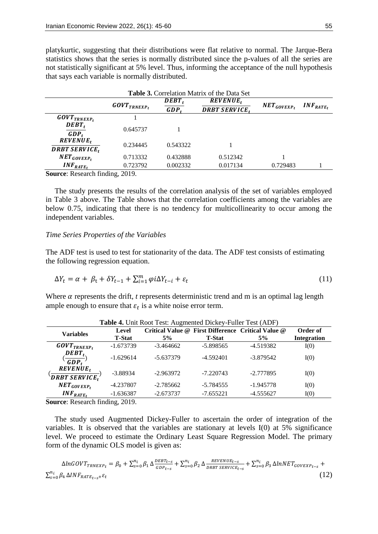platykurtic, suggesting that their distributions were flat relative to normal. The Jarque-Bera statistics shows that the series is normally distributed since the p-values of all the series are not statistically significant at 5% level. Thus, informing the acceptance of the null hypothesis that says each variable is normally distributed.

| <b>Table 3.</b> Correlation Matrix of the Data Set                                                                                              |                                   |                           |                     |                  |                |  |
|-------------------------------------------------------------------------------------------------------------------------------------------------|-----------------------------------|---------------------------|---------------------|------------------|----------------|--|
|                                                                                                                                                 |                                   | <b>REVENUE</b> ,<br>DEBT, |                     |                  |                |  |
|                                                                                                                                                 | $\textit{GOVT}_\textit{TRNEXP}_t$ | $GDP_t$                   | <b>DRBT SERVICE</b> | $NET_{GOVEXP_t}$ | $INF_{RATE_t}$ |  |
| $\textbf{\textit{GOVT}}_{\textbf{\textit{T}}\textbf{\textit{R}}\textbf{\textit{N}}\textbf{\textit{E}}\textbf{\textit{X}}\textbf{\textit{P}}_t}$ |                                   |                           |                     |                  |                |  |
| $DEBT_t$<br>$GDP_t$                                                                                                                             | 0.645737                          |                           |                     |                  |                |  |
| $REVENUE_t$<br><b>DRBT SERVICE,</b>                                                                                                             | 0.234445                          | 0.543322                  |                     |                  |                |  |
| $NET_{GOVEXP_t}$                                                                                                                                | 0.713332                          | 0.432888                  | 0.512342            |                  |                |  |
| $INF_{RATE_t}$                                                                                                                                  | 0.723792                          | 0.002332                  | 0.017134            | 0.729483         |                |  |
| $\alpha$ $\alpha$ <sup>1</sup>                                                                                                                  | $\bigcap_{\alpha=1}$              |                           |                     |                  |                |  |

**Source**: Research finding, 2019.

The study presents the results of the correlation analysis of the set of variables employed in Table 3 above. The Table shows that the correlation coefficients among the variables are below 0.75, indicating that there is no tendency for multicollinearity to occur among the independent variables.

#### *Time Series Properties of the Variables*

The ADF test is used to test for stationarity of the data. The ADF test consists of estimating the following regression equation.

$$
\Delta Y_t = \alpha + \beta_t + \delta Y_{t-1} + \sum_{i=1}^m \varphi i \Delta Y_{t-i} + \varepsilon_t \tag{11}
$$

Where  $\alpha$  represents the drift,  $t$  represents deterministic trend and m is an optimal lag length ample enough to ensure that  $\varepsilon_t$  is a white noise error term.

| <b>Variables</b>                     | Level         |             |               | Critical Value @ First Difference Critical Value @ | Order of           |
|--------------------------------------|---------------|-------------|---------------|----------------------------------------------------|--------------------|
|                                      | <b>T-Stat</b> | 5%          | <b>T-Stat</b> | 5%                                                 | <b>Integration</b> |
| $\textit{GOVT}_\textit{TNNEXP}_t$    | $-1.673739$   | $-3.464662$ | $-5.898565$   | $-4.519382$                                        | I(0)               |
| $DEBT_t$<br>$GDP_t$                  | $-1.629614$   | $-5.637379$ | $-4.592401$   | $-3.879542$                                        | I(0)               |
| $REVENUE_t$<br><b>DRBT SERVICE</b> , | $-3.88934$    | $-2.963972$ | $-7.220743$   | $-2.777895$                                        | I(0)               |
| $NET_{GOVEXP_t}$                     | $-4.237807$   | $-2.785662$ | $-5.784555$   | $-1.945778$                                        | I(0)               |
| $INF_{RATE_t}$                       | $-1.636387$   | $-2.673737$ | $-7.655221$   | $-4.555627$                                        | I(0)               |

**Table 4.** Unit Root Test: Augmented Dickey-Fuller Test (ADF)

**Source**: Research finding, 2019.

The study used Augmented Dickey-Fuller to ascertain the order of integration of the variables. It is observed that the variables are stationary at levels I(0) at 5% significance level. We proceed to estimate the Ordinary Least Square Regression Model. The primary form of the dynamic OLS model is given as:

$$
\Delta ln GOUT_{TRNEXP_t} = \beta_0 + \sum_{s=0}^{n_i} \beta_1 \Delta \frac{DEBT_{t-s}}{GDP_{t-s}} + \sum_{s=0}^{n_i} \beta_2 \Delta \frac{REVENUE_{t-s}}{DRBT SERVICE_{t-s}} + \sum_{s=0}^{n_i} \beta_3 \Delta lnNET_{GOVEXP_{t-s}} + \sum_{s=0}^{n_i} \beta_4 \Delta INF_{RATE_{t-s} + \varepsilon_t} \tag{12}
$$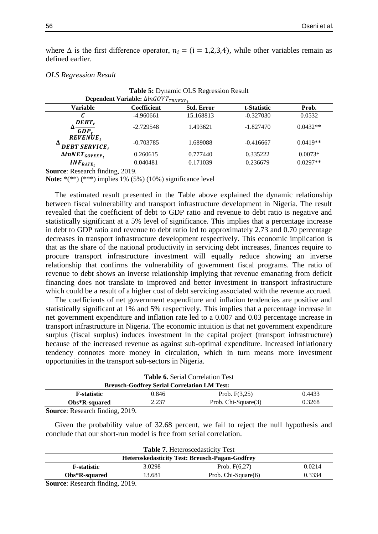where  $\Delta$  is the first difference operator,  $n_i = (i = 1,2,3,4)$ , while other variables remain as defined earlier.

**Table 5:** Dynamic OLS Regression Result

| <b>Table 3: Dynamic OLD Regression Result</b>   |                                                 |                   |             |            |  |  |  |
|-------------------------------------------------|-------------------------------------------------|-------------------|-------------|------------|--|--|--|
|                                                 | Dependent Variable: $\Delta ln GOVT_{TRNEXP_t}$ |                   |             |            |  |  |  |
| Variable                                        | Coefficient                                     | <b>Std. Error</b> | t-Statistic | Prob.      |  |  |  |
|                                                 | $-4.960661$                                     | 15.168813         | $-0.327030$ | 0.0532     |  |  |  |
| $DEBT_t$<br>$GDP_t$                             | $-2.729548$                                     | 1.493621          | $-1.827470$ | $0.0432**$ |  |  |  |
| $REVENUE_t$<br><b>DEBT SERVICE</b> <sub>t</sub> | $-0.703785$                                     | 1.689088          | $-0.416667$ | $0.0419**$ |  |  |  |
| $\Delta$ lnNET <sub>GOVEXPt</sub>               | 0.260615                                        | 0.777440          | 0.335222    | $0.0073*$  |  |  |  |
| $INF_{RATE_t}$                                  | 0.040481                                        | 0.171039          | 0.236679    | $0.0297**$ |  |  |  |

#### *OLS Regression Result*

**Source**: Research finding, 2019.

**Note:** \*(\*\*) (\*\*\*) implies 1% (5%) (10%) significance level

The estimated result presented in the Table above explained the dynamic relationship between fiscal vulnerability and transport infrastructure development in Nigeria. The result revealed that the coefficient of debt to GDP ratio and revenue to debt ratio is negative and statistically significant at a 5% level of significance. This implies that a percentage increase in debt to GDP ratio and revenue to debt ratio led to approximately 2.73 and 0.70 percentage decreases in transport infrastructure development respectively. This economic implication is that as the share of the national productivity in servicing debt increases, finances require to procure transport infrastructure investment will equally reduce showing an inverse relationship that confirms the vulnerability of government fiscal programs. The ratio of revenue to debt shows an inverse relationship implying that revenue emanating from deficit financing does not translate to improved and better investment in transport infrastructure which could be a result of a higher cost of debt servicing associated with the revenue accrued.

The coefficients of net government expenditure and inflation tendencies are positive and statistically significant at 1% and 5% respectively. This implies that a percentage increase in net government expenditure and inflation rate led to a 0.007 and 0.03 percentage increase in transport infrastructure in Nigeria. The economic intuition is that net government expenditure surplus (fiscal surplus) induces investment in the capital project (transport infrastructure) because of the increased revenue as against sub-optimal expenditure. Increased inflationary tendency connotes more money in circulation, which in turn means more investment opportunities in the transport sub-sectors in Nigeria.

|        | <b>Table 6.</b> Serial Correlation Test            |       |                     |        |  |  |
|--------|----------------------------------------------------|-------|---------------------|--------|--|--|
|        | <b>Breusch-Godfrey Serial Correlation LM Test:</b> |       |                     |        |  |  |
|        | <b>F-statistic</b>                                 | 0.846 | Prob. $F(3,25)$     | 0.4433 |  |  |
|        | Obs*R-squared                                      | 2.237 | Prob. Chi-Square(3) | 0.3268 |  |  |
| $\sim$ | $\bullet \bullet \bullet \bullet \bullet$          |       |                     |        |  |  |

**Source**: Research finding, 2019.

Given the probability value of 32.68 percent, we fail to reject the null hypothesis and conclude that our short-run model is free from serial correlation.

| <b>Table 7.</b> Heteroscedasticity Test                    |        |                     |        |  |
|------------------------------------------------------------|--------|---------------------|--------|--|
| <b>Heteroskedasticity Test: Breusch-Pagan-Godfrey</b>      |        |                     |        |  |
| <b>F</b> -statistic                                        | 3.0298 | Prob. $F(6,27)$     | 0.0214 |  |
| $Obs*R$ -squared                                           | 13.681 | Prob. Chi-Square(6) | 0.3334 |  |
| $S_{\text{correspond}}$ December $\mathcal{L}$ ding $2010$ |        |                     |        |  |

**Source**: Research finding, 2019.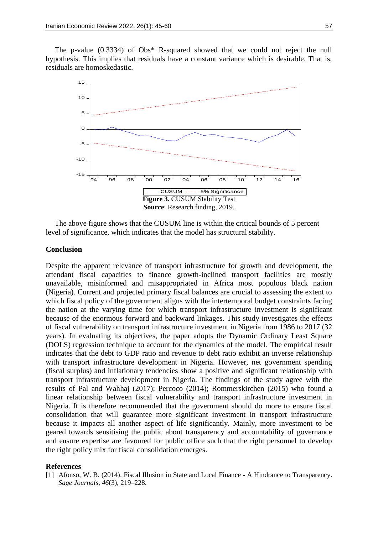The p-value (0.3334) of Obs\* R-squared showed that we could not reject the null hypothesis. This implies that residuals have a constant variance which is desirable. That is, residuals are homoskedastic.



The above figure shows that the CUSUM line is within the critical bounds of 5 percent level of significance, which indicates that the model has structural stability.

# **Conclusion**

Despite the apparent relevance of transport infrastructure for growth and development, the attendant fiscal capacities to finance growth-inclined transport facilities are mostly unavailable, misinformed and misappropriated in Africa most populous black nation (Nigeria). Current and projected primary fiscal balances are crucial to assessing the extent to which fiscal policy of the government aligns with the intertemporal budget constraints facing the nation at the varying time for which transport infrastructure investment is significant because of the enormous forward and backward linkages. This study investigates the effects of fiscal vulnerability on transport infrastructure investment in Nigeria from 1986 to 2017 (32 years). In evaluating its objectives, the paper adopts the Dynamic Ordinary Least Square (DOLS) regression technique to account for the dynamics of the model. The empirical result indicates that the debt to GDP ratio and revenue to debt ratio exhibit an inverse relationship with transport infrastructure development in Nigeria. However, net government spending (fiscal surplus) and inflationary tendencies show a positive and significant relationship with transport infrastructure development in Nigeria. The findings of the study agree with the results of Pal and Wahhaj (2017); Percoco (2014); Rommerskirchen (2015) who found a linear relationship between fiscal vulnerability and transport infrastructure investment in Nigeria. It is therefore recommended that the government should do more to ensure fiscal consolidation that will guarantee more significant investment in transport infrastructure because it impacts all another aspect of life significantly. Mainly, more investment to be geared towards sensitising the public about transparency and accountability of governance and ensure expertise are favoured for public office such that the right personnel to develop the right policy mix for fiscal consolidation emerges.

#### **References**

[1] Afonso, W. B. (2014). Fiscal Illusion in State and Local Finance - A Hindrance to Transparency. *Sage Journals*, *46*(3), 219–228.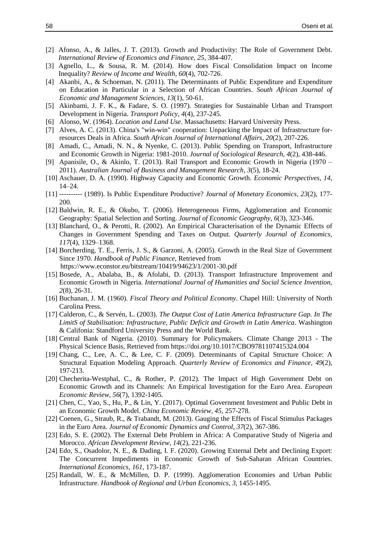- [2] Afonso, A., & Jalles, J. T. (2013). Growth and Productivity: The Role of Government Debt. *International Review of Economics and Finance*, *25*, 384-407.
- [3] Agnello, L., & Sousa, R. M. (2014). How does Fiscal Consolidation Impact on Income Inequality? *Review of Income and Wealth*, *60*(4), 702-726.
- [4] Akanbi, A., & Schoeman, N. (2011). The Determinants of Public Expenditure and Expenditure on Education in Particular in a Selection of African Countries. *South African Journal of Economic and Management Sciences, 13*(1), 50-61.
- [5] Akinbami, J. F. K., & Fadare, S. O. (1997). Strategies for Sustainable Urban and Transport Development in Nigeria. *Transport Policy, 4*(4), 237-245.
- [6] Alonso, W. (1964). *Location and Land Use*. Massachusetts: Harvard University Press.
- [7] Alves, A. C. (2013). China's "win-win" cooperation: Unpacking the Impact of Infrastructure forresources Deals in Africa. *South African Journal of International Affairs, 20*(2), 207-226.
- [8] Amadi, C., Amadi, N. N., & Nyenke, C. (2013). Public Spending on Transport, Infrastructure and Economic Growth in Nigeria: 1981-2010. *Journal of Sociological Research, 4*(2), 438-446.
- [9] Apanisile, O., & Akinlo, T. (2013). Rail Transport and Economic Growth in Nigeria (1970 2011). *Australian Journal of Business and Management Research, 3*(5), 18-24.
- [10] Aschauer, D. A. (1990). Highway Capacity and Economic Growth. *Economic Perspectives, 14*, 14–24.
- [11] ---------- (1989). Is Public Expenditure Productive? *Journal of Monetary Economics, 23*(2), 177- 200.
- [12] Baldwin, R. E., & Okubo, T. (2006). Heterogeneous Firms, Agglomeration and Economic Geography: Spatial Selection and Sorting. *Journal of Economic Geography, 6*(3), 323-346.
- [13] Blanchard, O., & Perotti, R. (2002). An Empirical Characterisation of the Dynamic Effects of Changes in Government Spending and Taxes on Output. *Quarterly Journal of Economics, 117*(4), 1329–1368.
- [14] Borcherding, T. E., Ferris, J. S., & Garzoni, A. (2005). Growth in the Real Size of Government Since 1970. *Handbook of Public Finance*, Retrieved from https://www.econstor.eu/bitstream/10419/94623/1/2001-30.pdf
- [15] Bosede, A., Abalaba, B., & Afolabi, D. (2013). Transport Infrastructure Improvement and Economic Growth in Nigeria. *International Journal of Humanities and Social Science Invention, 2*(8), 26-31.
- [16] Buchanan, J. M. (1960). *Fiscal Theory and Political Economy*. Chapel Hill: University of North Carolina Press.
- [17] Calderon, C., & Servén, L. (2003). *The Output Cost of Latin America Infrastructure Gap. In The LimitS of Stabilisation: Infrastructure, Public Deficit and Growth in Latin America*. Washington & Califonia: Standford University Press and the World Bank.
- [18] Central Bank of Nigeria. (2010). Summary for Policymakers. Climate Change 2013 The Physical Science Basis, Retrieved from https://doi.org/10.1017/CBO9781107415324.004
- [19] Chang, C., Lee, A. C., & Lee, C. F. (2009). Determinants of Capital Structure Choice: A Structural Equation Modeling Approach. *Quarterly Review of Economics and Finance, 49*(2), 197-213.
- [20] Checherita-Westphal, C., & Rother, P. (2012). The Impact of High Government Debt on Economic Growth and its Channels: An Empirical Investigation for the Euro Area. *European Economic Review, 56*(7), 1392-1405.
- [21] Chen, C., Yao, S., Hu, P., & Lin, Y. (2017). Optimal Government Investment and Public Debt in an Economic Growth Model. *China Economic Review, 45*, 257-278.
- [22] Coenen, G., Straub, R., & Trabandt, M. (2013). Gauging the Effects of Fiscal Stimulus Packages in the Euro Area. *Journal of Economic Dynamics and Control, 37*(2), 367-386.
- [23] Edo, S. E. (2002). The External Debt Problem in Africa: A Comparative Study of Nigeria and Morocco. *African Development Review, 14*(2), 221-236.
- [24] Edo, S., Osadolor, N. E., & Dading, I. F. (2020). Growing External Debt and Declining Export: The Concurrent Impediments in Economic Growth of Sub-Saharan African Countries. *International Economics, 161*, 173-187.
- [25] Randall, W. E., & McMillen, D. P. (1999). Agglomeration Economies and Urban Public Infrastructure. *Handbook of Regional and Urban Economics*, *3*, 1455-1495.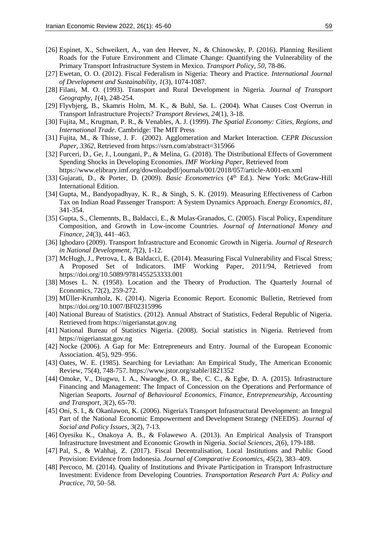- [26] Espinet, X., Schweikert, A., van den Heever, N., & Chinowsky, P. (2016). Planning Resilient Roads for the Future Environment and Climate Change: Quantifying the Vulnerability of the Primary Transport Infrastructure System in Mexico. *Transport Policy, 50*, 78-86.
- [27] Ewetan, O. O. (2012). Fiscal Federalism in Nigeria: Theory and Practice. *International Journal of Development and Sustainability, 1*(3), 1074-1087.
- [28] Filani, M. O. (1993). Transport and Rural Development in Nigeria. *Journal of Transport Geography, 1*(4), 248-254.
- [29] Flyvbjerg, B., Skamris Holm, M. K., & Buhl, Sø. L. (2004). What Causes Cost Overrun in Transport Infrastructure Projects? *Transport Reviews, 24*(1), 3-18.
- [30] Fujita, M., Krugman, P. R., & Venables, A. J. (1999). *The Spatial Economy: Cities, Regions, and International Trade*. Cambridge: The MIT Press
- [31] Fujita, M., & Thisse, J. F. (2002). Agglomeration and Market Interaction. *CEPR Discussion Paper, 3362*, Retrieved from https://ssrn.com/abstract=315966
- [32] Furceri, D., Ge, J., Loungani, P., & Melina, G. (2018). The Distributional Effects of Government Spending Shocks in Developing Economies. *IMF Working Paper,* Retrieved from https://www.elibrary.imf.org/downloadpdf/journals/001/2018/057/article-A001-en.xml
- [33] Gujarati, D., & Porter, D. (2009). *Basic Econometrics* (4<sup>th</sup> Ed.). New York: McGraw-Hill International Edition.
- [34] Gupta, M., Bandyopadhyay, K. R., & Singh, S. K. (2019). Measuring Effectiveness of Carbon Tax on Indian Road Passenger Transport: A System Dynamics Approach. *Energy Economics, 81*, 341-354.
- [35] Gupta, S., Clemennts, B., Baldacci, E., & Mulas-Granados, C. (2005). Fiscal Policy, Expenditure Composition, and Growth in Low-income Countries. *Journal of International Money and Finance, 24*(3), 441–463.
- [36] Ighodaro (2009). Transport Infrastructure and Economic Growth in Nigeria. *Journal of Research in National Development, 7*(2), 1-12.
- [37] McHugh, J., Petrova, I., & Baldacci, E. (2014). Measuring Fiscal Vulnerability and Fiscal Stress; A Proposed Set of Indicators. IMF Working Paper, 2011/94, Retrieved from https://doi.org/10.5089/9781455253333.001
- [38] Moses L. N. (1958). Location and the Theory of Production. The Quarterly Journal of Economics, 72(2), 259-272.
- [39] MÜller-Krumholz, K. (2014). Nigeria Economic Report. Economic Bulletin, Retrieved from https://doi.org/10.1007/BF02315996
- [40] National Bureau of Statistics. (2012). Annual Abstract of Statistics, Federal Republic of Nigeria. Retrieved from https://nigerianstat.gov.ng
- [41] National Bureau of Statistics Nigeria. (2008). Social statistics in Nigeria. Retrieved from https://nigerianstat.gov.ng
- [42] Nocke (2006). A Gap for Me: Entrepreneurs and Entry. Journal of the European Economic Association. 4(5), 929–956.
- [43] Oates, W. E. (1985). Searching for Leviathan: An Empirical Study, The American Economic Review, 75(4), 748-757. https://www.jstor.org/stable/1821352
- [44] Omoke, V., Diugwu, I. A., Nwaogbe, O. R., Ibe, C. C., & Egbe, D. A. (2015). Infrastructure Financing and Management: The Impact of Concession on the Operations and Performance of Nigerian Seaports. *Journal of Behavioural Economics, Finance, Entrepreneurship, Accounting and Transport, 3*(2), 65-70.
- [45] Oni, S. I., & Okanlawon, K. (2006). Nigeria's Transport Infrastructural Development: an Integral Part of the National Economic Empowerment and Development Strategy (NEEDS). *Journal of Social and Policy Issues, 3*(2), 7-13.
- [46] Oyesiku K., Onakoya A. B., & Folawewo A. (2013). An Empirical Analysis of Transport Infrastructure Investment and Economic Growth in Nigeria. *Social Sciences, 2*(6), 179-188.
- [47] Pal, S., & Wahhaj, Z. (2017). Fiscal Decentralisation, Local Institutions and Public Good Provision: Evidence from Indonesia. *Journal of Comparative Economics, 45*(2), 383–409.
- [48] Percoco, M. (2014). Quality of Institutions and Private Participation in Transport Infrastructure Investment: Evidence from Developing Countries. *Transportation Research Part A: Policy and Practice, 70*, 50–58.